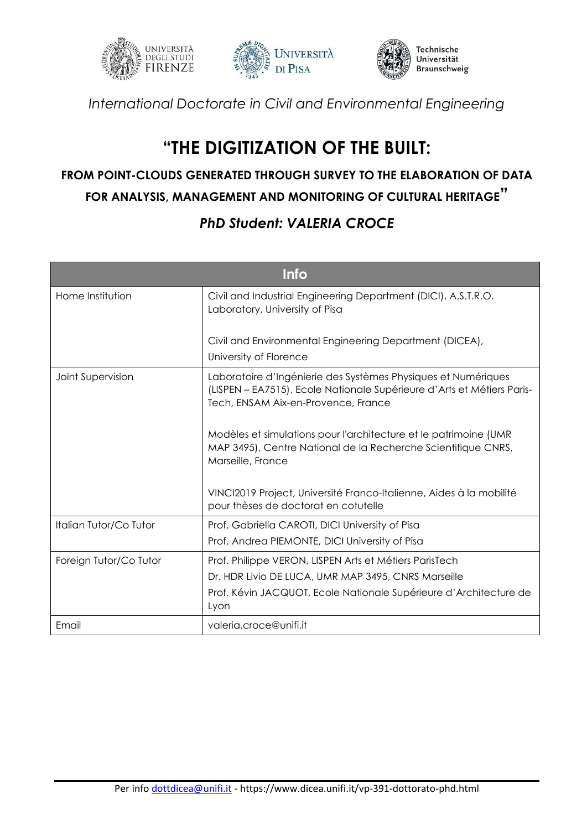





*International Doctorate in Civil and Environmental Engineering*

## **"THE DIGITIZATION OF THE BUILT:**

## **FROM POINT-CLOUDS GENERATED THROUGH SURVEY TO THE ELABORATION OF DATA FOR ANALYSIS, MANAGEMENT AND MONITORING OF CULTURAL HERITAGE"**

## *PhD Student: VALERIA CROCE*

| <b>Info</b>            |                                                                                                                                                                                |
|------------------------|--------------------------------------------------------------------------------------------------------------------------------------------------------------------------------|
| Home Institution       | Civil and Industrial Engineering Department (DICI), A.S.T.R.O.<br>Laboratory, University of Pisa                                                                               |
|                        | Civil and Environmental Engineering Department (DICEA),                                                                                                                        |
|                        | University of Florence                                                                                                                                                         |
| Joint Supervision      | Laboratoire d'Ingénierie des Systèmes Physiques et Numériques<br>(LISPEN – EA7515), Ecole Nationale Supérieure d'Arts et Métiers Paris-<br>Tech, ENSAM Aix-en-Provence, France |
|                        | Modèles et simulations pour l'architecture et le patrimoine (UMR<br>MAP 3495), Centre National de la Recherche Scientifique CNRS,<br>Marseille, France                         |
|                        | VINCI2019 Project, Université Franco-Italienne, Aides à la mobilité<br>pour thèses de doctorat en cotutelle                                                                    |
| Italian Tutor/Co Tutor | Prof. Gabriella CAROTI, DICI University of Pisa                                                                                                                                |
|                        | Prof. Andrea PIEMONTE, DICI University of Pisa                                                                                                                                 |
| Foreign Tutor/Co Tutor | Prof. Philippe VERON, LISPEN Arts et Métiers ParisTech                                                                                                                         |
|                        | Dr. HDR Livio DE LUCA, UMR MAP 3495, CNRS Marseille                                                                                                                            |
|                        | Prof. Kévin JACQUOT, Ecole Nationale Supérieure d'Architecture de<br>Lyon                                                                                                      |
| Email                  | valeria.croce@unifi.it                                                                                                                                                         |